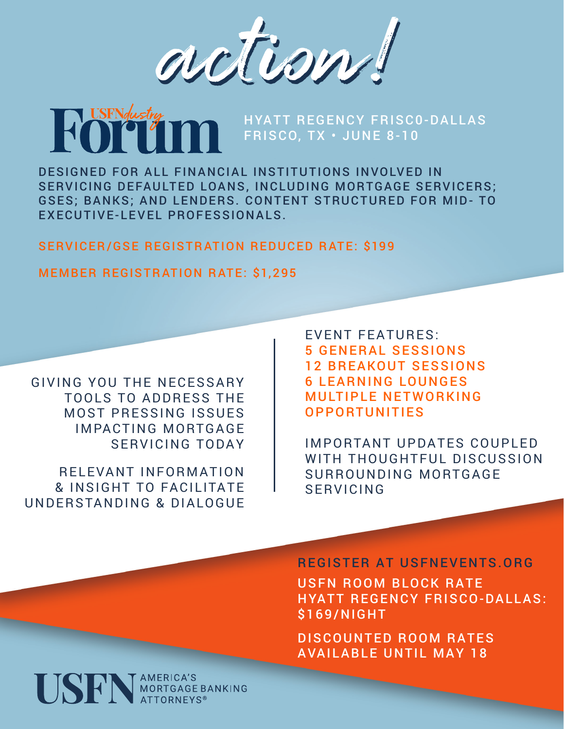action!

# HYATT REGENCY FRISC0-DALLAS FRISCO, TX • JUNE 8-10

DESIGNED FOR ALL FINANCIAL INSTITUTIONS INVOLVED IN SERVICING DEFAULTED LOANS, INCLUDING MORTGAGE SERVICERS; GSES; BANKS; AND LENDERS. CONTENT STRUCTURED FOR MID- TO EXECUTIVE-LEVEL PROFESSIONALS.

SERVICER/GSE REGISTRATION REDUCED RATE: \$199

### MEMBER REGISTRATION RATE: \$1,295

GIVING YOU THE NECESSARY TOOLS TO ADDRESS THE **MOST PRESSING ISSUES IMPACTING MORTGAGE** SERVICING TODAY

RELEVANT INFORMATION & INSIGHT TO FACILITATE UNDERSTANDING & DIALOGUE EVENT FEATURES: 5 GENERAL SESSIONS 12 BREAKOUT SESSIONS 6 LEARNING LOUNGES **MULTIPLE NETWORKING** OPPORTUNITIES

IMPORTANT UPDATES COUPLED WITH THOUGHTFUL DISCUSSION SURROUNDING MORTGAGF SERVICING

#### REGISTER AT USFNEVENTS.ORG

USFN ROOM BLOCK RATE HYATT REGENCY FRISCO-DALLAS: \$169/NIGHT

DISCOUNTED ROOM RATES AVAILABLE UNTIL MAY 18